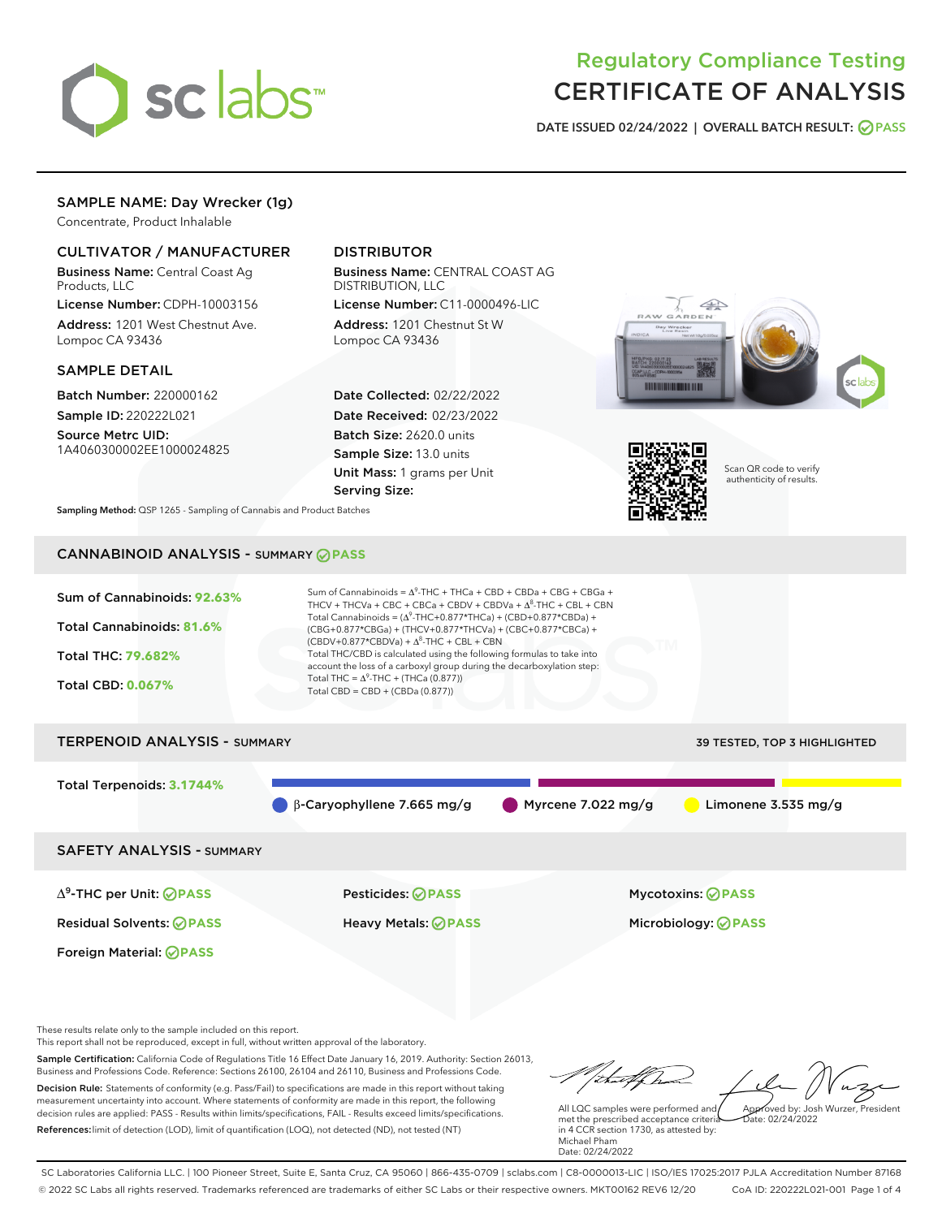

# Regulatory Compliance Testing CERTIFICATE OF ANALYSIS

DATE ISSUED 02/24/2022 | OVERALL BATCH RESULT: @ PASS

## SAMPLE NAME: Day Wrecker (1g)

Concentrate, Product Inhalable

### CULTIVATOR / MANUFACTURER

Business Name: Central Coast Ag Products, LLC

License Number: CDPH-10003156 Address: 1201 West Chestnut Ave. Lompoc CA 93436

#### SAMPLE DETAIL

Batch Number: 220000162 Sample ID: 220222L021

Source Metrc UID: 1A4060300002EE1000024825

## DISTRIBUTOR

Business Name: CENTRAL COAST AG DISTRIBUTION, LLC License Number: C11-0000496-LIC

Address: 1201 Chestnut St W Lompoc CA 93436

Date Collected: 02/22/2022 Date Received: 02/23/2022 Batch Size: 2620.0 units Sample Size: 13.0 units Unit Mass: 1 grams per Unit Serving Size:





Scan QR code to verify authenticity of results.

Sampling Method: QSP 1265 - Sampling of Cannabis and Product Batches

## CANNABINOID ANALYSIS - SUMMARY **PASS**



Sample Certification: California Code of Regulations Title 16 Effect Date January 16, 2019. Authority: Section 26013, Business and Professions Code. Reference: Sections 26100, 26104 and 26110, Business and Professions Code. Decision Rule: Statements of conformity (e.g. Pass/Fail) to specifications are made in this report without taking measurement uncertainty into account. Where statements of conformity are made in this report, the following decision rules are applied: PASS - Results within limits/specifications, FAIL - Results exceed limits/specifications. References:limit of detection (LOD), limit of quantification (LOQ), not detected (ND), not tested (NT)

tu#f h Approved by: Josh Wurzer, President

 $\frac{1}{2}$  02/24/2022

All LQC samples were performed and met the prescribed acceptance criteria in 4 CCR section 1730, as attested by: Michael Pham Date: 02/24/2022

SC Laboratories California LLC. | 100 Pioneer Street, Suite E, Santa Cruz, CA 95060 | 866-435-0709 | sclabs.com | C8-0000013-LIC | ISO/IES 17025:2017 PJLA Accreditation Number 87168 © 2022 SC Labs all rights reserved. Trademarks referenced are trademarks of either SC Labs or their respective owners. MKT00162 REV6 12/20 CoA ID: 220222L021-001 Page 1 of 4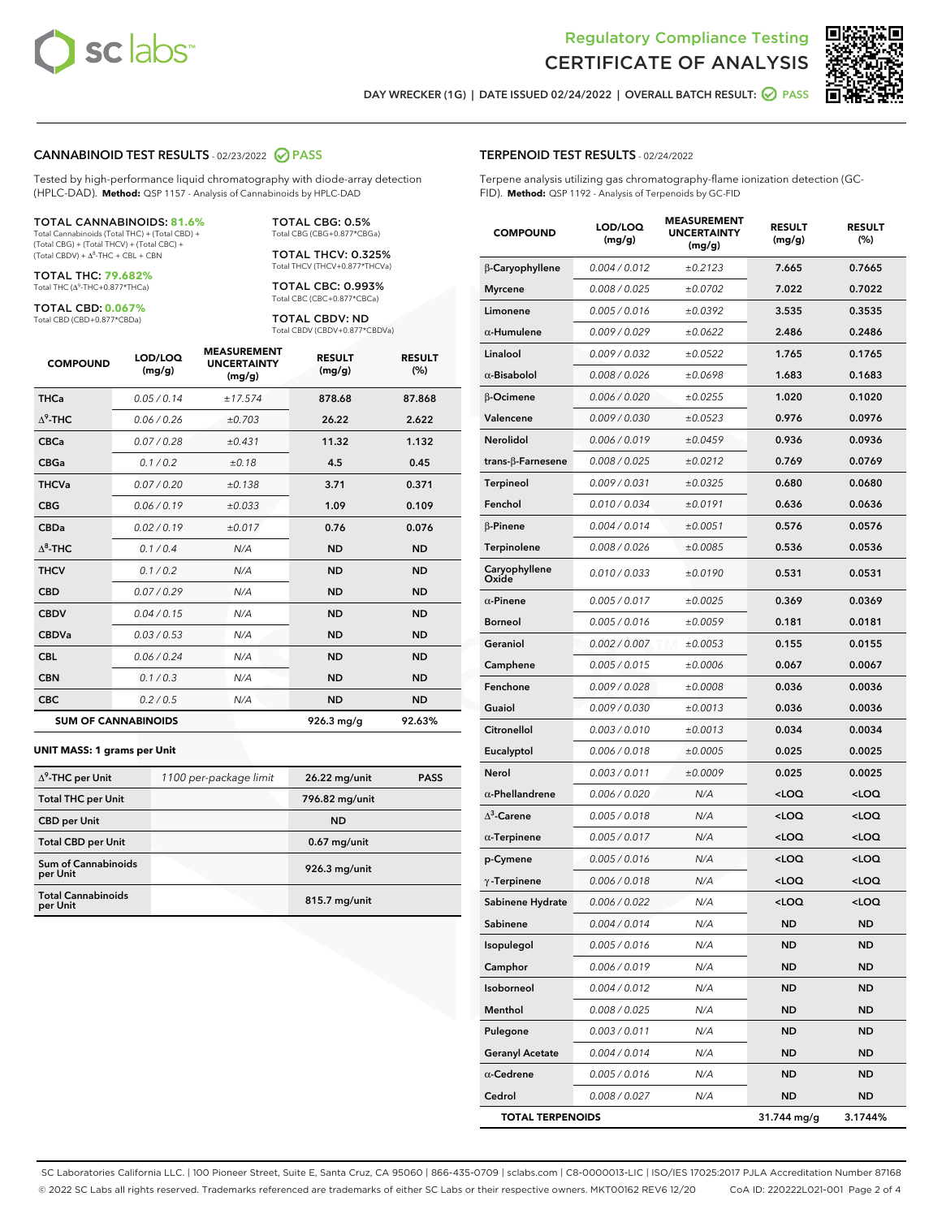



**RESULT** 

DAY WRECKER (1G) | DATE ISSUED 02/24/2022 | OVERALL BATCH RESULT:  $\bigcirc$  PASS

#### CANNABINOID TEST RESULTS - 02/23/2022 2 PASS

Tested by high-performance liquid chromatography with diode-array detection (HPLC-DAD). **Method:** QSP 1157 - Analysis of Cannabinoids by HPLC-DAD

#### TOTAL CANNABINOIDS: **81.6%**

Total Cannabinoids (Total THC) + (Total CBD) + (Total CBG) + (Total THCV) + (Total CBC) +  $(Total CBDV) +  $\Delta^8$ -THC + CBL + CBN$ 

TOTAL THC: **79.682%** Total THC (Δ<sup>9</sup>-THC+0.877\*THCa)

TOTAL CBD: **0.067%**

Total CBD (CBD+0.877\*CBDa)

TOTAL CBG: 0.5% Total CBG (CBG+0.877\*CBGa)

TOTAL THCV: 0.325% Total THCV (THCV+0.877\*THCVa)

TOTAL CBC: 0.993% Total CBC (CBC+0.877\*CBCa)

TOTAL CBDV: ND Total CBDV (CBDV+0.877\*CBDVa)

| <b>COMPOUND</b>            | LOD/LOQ<br>(mg/g) | <b>MEASUREMENT</b><br><b>UNCERTAINTY</b><br>(mg/g) | <b>RESULT</b><br>(mg/g) | <b>RESULT</b><br>(%) |
|----------------------------|-------------------|----------------------------------------------------|-------------------------|----------------------|
| <b>THCa</b>                | 0.05 / 0.14       | ±17.574                                            | 878.68                  | 87.868               |
| $\Delta^9$ -THC            | 0.06 / 0.26       | ±0.703                                             | 26.22                   | 2.622                |
| <b>CBCa</b>                | 0.07 / 0.28       | ±0.431                                             | 11.32                   | 1.132                |
| <b>CBGa</b>                | 0.1/0.2           | ±0.18                                              | 4.5                     | 0.45                 |
| <b>THCVa</b>               | 0.07/0.20         | ±0.138                                             | 3.71                    | 0.371                |
| <b>CBG</b>                 | 0.06 / 0.19       | ±0.033                                             | 1.09                    | 0.109                |
| <b>CBDa</b>                | 0.02/0.19         | ±0.017                                             | 0.76                    | 0.076                |
| $\Lambda^8$ -THC           | 0.1/0.4           | N/A                                                | <b>ND</b>               | <b>ND</b>            |
| <b>THCV</b>                | 0.1/0.2           | N/A                                                | <b>ND</b>               | <b>ND</b>            |
| <b>CBD</b>                 | 0.07/0.29         | N/A                                                | <b>ND</b>               | <b>ND</b>            |
| <b>CBDV</b>                | 0.04 / 0.15       | N/A                                                | <b>ND</b>               | <b>ND</b>            |
| <b>CBDVa</b>               | 0.03/0.53         | N/A                                                | <b>ND</b>               | <b>ND</b>            |
| <b>CBL</b>                 | 0.06 / 0.24       | N/A                                                | <b>ND</b>               | <b>ND</b>            |
| <b>CBN</b>                 | 0.1/0.3           | N/A                                                | <b>ND</b>               | <b>ND</b>            |
| <b>CBC</b>                 | 0.2 / 0.5         | N/A                                                | <b>ND</b>               | <b>ND</b>            |
| <b>SUM OF CANNABINOIDS</b> |                   |                                                    | $926.3$ mg/g            | 92.63%               |

#### **UNIT MASS: 1 grams per Unit**

| $\Delta^9$ -THC per Unit               | 1100 per-package limit | 26.22 mg/unit   | <b>PASS</b> |
|----------------------------------------|------------------------|-----------------|-------------|
| <b>Total THC per Unit</b>              |                        | 796.82 mg/unit  |             |
| <b>CBD per Unit</b>                    |                        | <b>ND</b>       |             |
| <b>Total CBD per Unit</b>              |                        | $0.67$ mg/unit  |             |
| <b>Sum of Cannabinoids</b><br>per Unit |                        | 926.3 mg/unit   |             |
| <b>Total Cannabinoids</b><br>per Unit  |                        | $815.7$ mg/unit |             |

| <b>COMPOUND</b>         | (mg/g)        | <b>UNCERTAINTY</b><br>(mg/g) | (mg/g)                                           | (%)                 |
|-------------------------|---------------|------------------------------|--------------------------------------------------|---------------------|
| β-Caryophyllene         | 0.004 / 0.012 | ±0.2123                      | 7.665                                            | 0.7665              |
| <b>Myrcene</b>          | 0.008 / 0.025 | ±0.0702                      | 7.022                                            | 0.7022              |
| Limonene                | 0.005 / 0.016 | ±0.0392                      | 3.535                                            | 0.3535              |
| $\alpha$ -Humulene      | 0.009 / 0.029 | ±0.0622                      | 2.486                                            | 0.2486              |
| Linalool                | 0.009 / 0.032 | ±0.0522                      | 1.765                                            | 0.1765              |
| $\alpha$ -Bisabolol     | 0.008 / 0.026 | ±0.0698                      | 1.683                                            | 0.1683              |
| β-Ocimene               | 0.006 / 0.020 | ±0.0255                      | 1.020                                            | 0.1020              |
| Valencene               | 0.009 / 0.030 | ±0.0523                      | 0.976                                            | 0.0976              |
| Nerolidol               | 0.006 / 0.019 | ±0.0459                      | 0.936                                            | 0.0936              |
| trans-β-Farnesene       | 0.008 / 0.025 | ±0.0212                      | 0.769                                            | 0.0769              |
| Terpineol               | 0.009 / 0.031 | ±0.0325                      | 0.680                                            | 0.0680              |
| Fenchol                 | 0.010 / 0.034 | ±0.0191                      | 0.636                                            | 0.0636              |
| $\beta$ -Pinene         | 0.004 / 0.014 | ±0.0051                      | 0.576                                            | 0.0576              |
| Terpinolene             | 0.008 / 0.026 | ±0.0085                      | 0.536                                            | 0.0536              |
| Caryophyllene<br>Oxide  | 0.010 / 0.033 | ±0.0190                      | 0.531                                            | 0.0531              |
| $\alpha$ -Pinene        | 0.005 / 0.017 | ±0.0025                      | 0.369                                            | 0.0369              |
| <b>Borneol</b>          | 0.005 / 0.016 | ±0.0059                      | 0.181                                            | 0.0181              |
| Geraniol                | 0.002 / 0.007 | ±0.0053                      | 0.155                                            | 0.0155              |
| Camphene                | 0.005 / 0.015 | ±0.0006                      | 0.067                                            | 0.0067              |
| Fenchone                | 0.009 / 0.028 | ±0.0008                      | 0.036                                            | 0.0036              |
| Guaiol                  | 0.009 / 0.030 | ±0.0013                      | 0.036                                            | 0.0036              |
| Citronellol             | 0.003 / 0.010 | ±0.0013                      | 0.034                                            | 0.0034              |
| Eucalyptol              | 0.006 / 0.018 | ±0.0005                      | 0.025                                            | 0.0025              |
| Nerol                   | 0.003 / 0.011 | ±0.0009                      | 0.025                                            | 0.0025              |
| $\alpha$ -Phellandrene  | 0.006 / 0.020 | N/A                          | <loq< th=""><th><loq< th=""></loq<></th></loq<>  | <loq< th=""></loq<> |
| $\Delta^3$ -Carene      | 0.005 / 0.018 | N/A                          | <loq< th=""><th><loq< th=""></loq<></th></loq<>  | <loq< th=""></loq<> |
| $\alpha$ -Terpinene     | 0.005 / 0.017 | N/A                          | <loq< th=""><th><math>&lt;</math>LOQ</th></loq<> | $<$ LOQ             |
| p-Cymene                | 0.005 / 0.016 | N/A                          | <loq< th=""><th><loq< th=""></loq<></th></loq<>  | <loq< th=""></loq<> |
| $\gamma$ -Terpinene     | 0.006 / 0.018 | N/A                          | <loq< th=""><th><loq< th=""></loq<></th></loq<>  | <loq< th=""></loq<> |
| Sabinene Hydrate        | 0.006 / 0.022 | N/A                          | <loq< th=""><th><loq< th=""></loq<></th></loq<>  | <loq< th=""></loq<> |
| Sabinene                | 0.004 / 0.014 | N/A                          | ND                                               | ND                  |
| Isopulegol              | 0.005 / 0.016 | N/A                          | ND                                               | ND                  |
| Camphor                 | 0.006 / 0.019 | N/A                          | <b>ND</b>                                        | ND                  |
| Isoborneol              | 0.004 / 0.012 | N/A                          | ND                                               | ND                  |
| Menthol                 | 0.008 / 0.025 | N/A                          | ND                                               | ND                  |
| Pulegone                | 0.003 / 0.011 | N/A                          | <b>ND</b>                                        | ND                  |
| <b>Geranyl Acetate</b>  | 0.004 / 0.014 | N/A                          | ND                                               | ND                  |
| $\alpha$ -Cedrene       | 0.005 / 0.016 | N/A                          | ND                                               | ND                  |
| Cedrol                  | 0.008 / 0.027 | N/A                          | <b>ND</b>                                        | ND                  |
| <b>TOTAL TERPENOIDS</b> |               |                              | 31.744 ma/a                                      | 3.1744%             |

SC Laboratories California LLC. | 100 Pioneer Street, Suite E, Santa Cruz, CA 95060 | 866-435-0709 | sclabs.com | C8-0000013-LIC | ISO/IES 17025:2017 PJLA Accreditation Number 87168 © 2022 SC Labs all rights reserved. Trademarks referenced are trademarks of either SC Labs or their respective owners. MKT00162 REV6 12/20 CoA ID: 220222L021-001 Page 2 of 4

#### TERPENOID TEST RESULTS - 02/24/2022

LOD/LOO

Terpene analysis utilizing gas chromatography-flame ionization detection (GC-FID). **Method:** QSP 1192 - Analysis of Terpenoids by GC-FID

MEASUREMENT

**RESULT**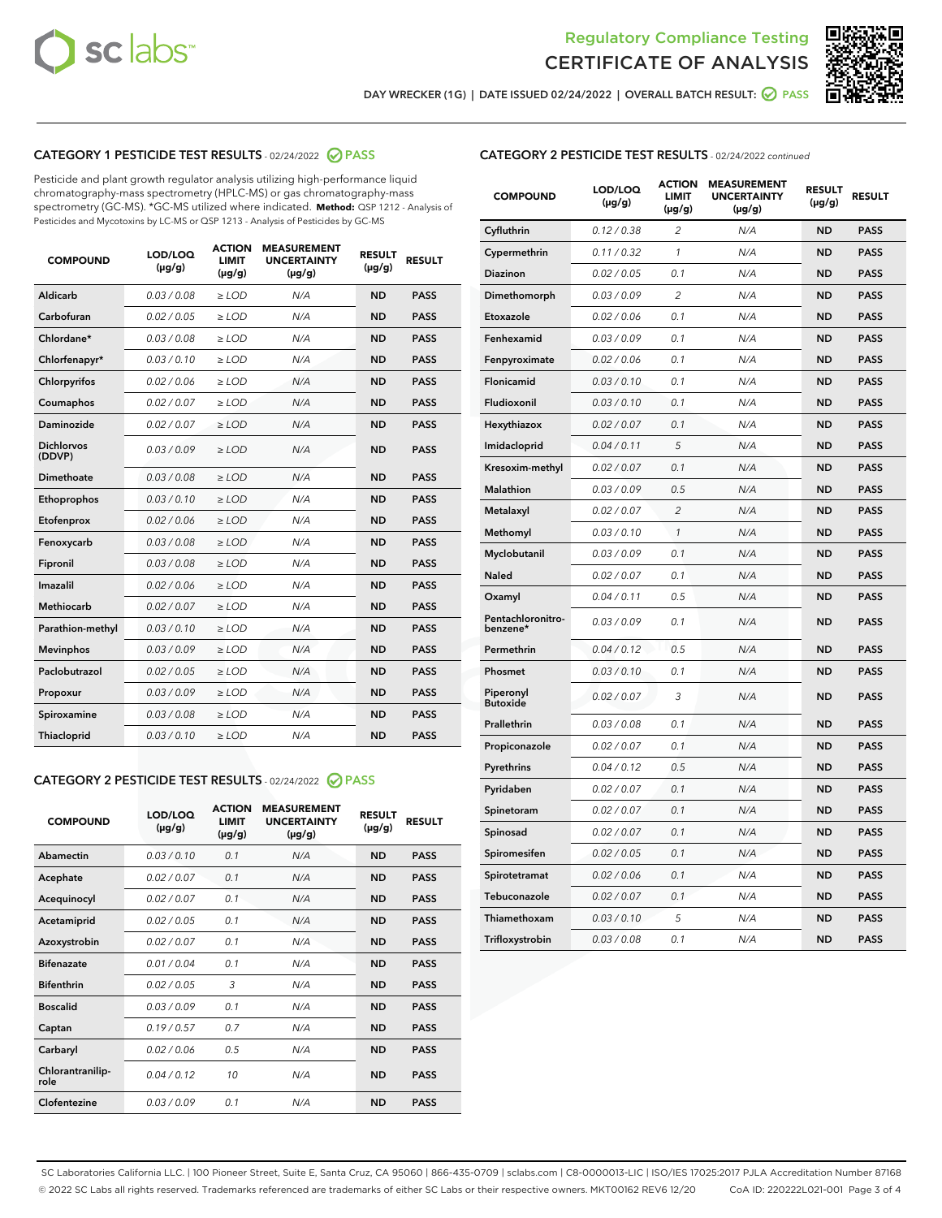



DAY WRECKER (1G) | DATE ISSUED 02/24/2022 | OVERALL BATCH RESULT:  $\bigcirc$  PASS

### CATEGORY 1 PESTICIDE TEST RESULTS - 02/24/2022 2 PASS

Pesticide and plant growth regulator analysis utilizing high-performance liquid chromatography-mass spectrometry (HPLC-MS) or gas chromatography-mass spectrometry (GC-MS). \*GC-MS utilized where indicated. **Method:** QSP 1212 - Analysis of Pesticides and Mycotoxins by LC-MS or QSP 1213 - Analysis of Pesticides by GC-MS

| <b>COMPOUND</b>             | LOD/LOQ<br>$(\mu g/g)$ | <b>ACTION</b><br><b>LIMIT</b><br>$(\mu g/g)$ | <b>MEASUREMENT</b><br><b>UNCERTAINTY</b><br>$(\mu g/g)$ | <b>RESULT</b><br>$(\mu g/g)$ | <b>RESULT</b> |
|-----------------------------|------------------------|----------------------------------------------|---------------------------------------------------------|------------------------------|---------------|
| Aldicarb                    | 0.03 / 0.08            | $\ge$ LOD                                    | N/A                                                     | <b>ND</b>                    | <b>PASS</b>   |
| Carbofuran                  | 0.02 / 0.05            | $>$ LOD                                      | N/A                                                     | <b>ND</b>                    | <b>PASS</b>   |
| Chlordane*                  | 0.03 / 0.08            | $\geq$ LOD                                   | N/A                                                     | <b>ND</b>                    | <b>PASS</b>   |
| Chlorfenapyr*               | 0.03/0.10              | $\geq$ LOD                                   | N/A                                                     | <b>ND</b>                    | <b>PASS</b>   |
| Chlorpyrifos                | 0.02/0.06              | $>$ LOD                                      | N/A                                                     | <b>ND</b>                    | <b>PASS</b>   |
| Coumaphos                   | 0.02 / 0.07            | $\ge$ LOD                                    | N/A                                                     | <b>ND</b>                    | <b>PASS</b>   |
| Daminozide                  | 0.02 / 0.07            | $\ge$ LOD                                    | N/A                                                     | <b>ND</b>                    | <b>PASS</b>   |
| <b>Dichlorvos</b><br>(DDVP) | 0.03/0.09              | $\ge$ LOD                                    | N/A                                                     | <b>ND</b>                    | <b>PASS</b>   |
| Dimethoate                  | 0.03 / 0.08            | $>$ LOD                                      | N/A                                                     | <b>ND</b>                    | <b>PASS</b>   |
| Ethoprophos                 | 0.03/0.10              | $>$ LOD                                      | N/A                                                     | <b>ND</b>                    | <b>PASS</b>   |
| Etofenprox                  | 0.02 / 0.06            | $\ge$ LOD                                    | N/A                                                     | <b>ND</b>                    | <b>PASS</b>   |
| Fenoxycarb                  | 0.03 / 0.08            | $\ge$ LOD                                    | N/A                                                     | <b>ND</b>                    | <b>PASS</b>   |
| Fipronil                    | 0.03 / 0.08            | $\ge$ LOD                                    | N/A                                                     | <b>ND</b>                    | <b>PASS</b>   |
| Imazalil                    | 0.02 / 0.06            | $\ge$ LOD                                    | N/A                                                     | <b>ND</b>                    | <b>PASS</b>   |
| <b>Methiocarb</b>           | 0.02 / 0.07            | $\ge$ LOD                                    | N/A                                                     | <b>ND</b>                    | <b>PASS</b>   |
| Parathion-methyl            | 0.03/0.10              | $>$ LOD                                      | N/A                                                     | <b>ND</b>                    | <b>PASS</b>   |
| <b>Mevinphos</b>            | 0.03/0.09              | $\ge$ LOD                                    | N/A                                                     | <b>ND</b>                    | <b>PASS</b>   |
| Paclobutrazol               | 0.02 / 0.05            | $\ge$ LOD                                    | N/A                                                     | <b>ND</b>                    | <b>PASS</b>   |
| Propoxur                    | 0.03/0.09              | $>$ LOD                                      | N/A                                                     | <b>ND</b>                    | <b>PASS</b>   |
| Spiroxamine                 | 0.03 / 0.08            | $\ge$ LOD                                    | N/A                                                     | <b>ND</b>                    | <b>PASS</b>   |
| Thiacloprid                 | 0.03/0.10              | $\ge$ LOD                                    | N/A                                                     | <b>ND</b>                    | <b>PASS</b>   |

## CATEGORY 2 PESTICIDE TEST RESULTS - 02/24/2022 2 PASS

| <b>COMPOUND</b>          | LOD/LOQ<br>$(\mu g/g)$ | <b>ACTION</b><br><b>LIMIT</b><br>$(\mu g/g)$ | <b>MEASUREMENT</b><br><b>UNCERTAINTY</b><br>$(\mu g/g)$ | <b>RESULT</b><br>$(\mu g/g)$ | <b>RESULT</b> |  |
|--------------------------|------------------------|----------------------------------------------|---------------------------------------------------------|------------------------------|---------------|--|
| Abamectin                | 0.03/0.10              | 0.1                                          | N/A                                                     | <b>ND</b>                    | <b>PASS</b>   |  |
| Acephate                 | 0.02/0.07              | 0.1                                          | N/A                                                     | <b>ND</b>                    | <b>PASS</b>   |  |
| Acequinocyl              | 0.02/0.07              | 0.1                                          | N/A                                                     | <b>ND</b>                    | <b>PASS</b>   |  |
| Acetamiprid              | 0.02/0.05              | 0.1                                          | N/A                                                     | <b>ND</b>                    | <b>PASS</b>   |  |
| Azoxystrobin             | 0.02/0.07              | 0.1                                          | N/A                                                     | <b>ND</b>                    | <b>PASS</b>   |  |
| <b>Bifenazate</b>        | 0.01/0.04              | 0.1                                          | N/A                                                     | <b>ND</b>                    | <b>PASS</b>   |  |
| <b>Bifenthrin</b>        | 0.02 / 0.05            | 3                                            | N/A                                                     | <b>ND</b>                    | <b>PASS</b>   |  |
| <b>Boscalid</b>          | 0.03/0.09              | 0.1                                          | N/A                                                     | <b>ND</b>                    | <b>PASS</b>   |  |
| Captan                   | 0.19/0.57              | 0.7                                          | N/A                                                     | <b>ND</b>                    | <b>PASS</b>   |  |
| Carbaryl                 | 0.02/0.06              | 0.5                                          | N/A                                                     | <b>ND</b>                    | <b>PASS</b>   |  |
| Chlorantranilip-<br>role | 0.04/0.12              | 10                                           | N/A                                                     | <b>ND</b>                    | <b>PASS</b>   |  |
| Clofentezine             | 0.03/0.09              | 0.1                                          | N/A                                                     | <b>ND</b>                    | <b>PASS</b>   |  |

#### CATEGORY 2 PESTICIDE TEST RESULTS - 02/24/2022 continued

| <b>COMPOUND</b>               | LOD/LOQ<br>(µg/g) | <b>ACTION</b><br><b>LIMIT</b><br>(µg/g) | <b>MEASUREMENT</b><br><b>UNCERTAINTY</b><br>(µg/g) | <b>RESULT</b><br>(µg/g) | <b>RESULT</b> |
|-------------------------------|-------------------|-----------------------------------------|----------------------------------------------------|-------------------------|---------------|
| Cyfluthrin                    | 0.12 / 0.38       | $\overline{c}$                          | N/A                                                | <b>ND</b>               | <b>PASS</b>   |
| Cypermethrin                  | 0.11/0.32         | $\mathcal{I}$                           | N/A                                                | <b>ND</b>               | <b>PASS</b>   |
| <b>Diazinon</b>               | 0.02 / 0.05       | 0.1                                     | N/A                                                | <b>ND</b>               | <b>PASS</b>   |
| Dimethomorph                  | 0.03 / 0.09       | 2                                       | N/A                                                | <b>ND</b>               | <b>PASS</b>   |
| Etoxazole                     | 0.02 / 0.06       | 0.1                                     | N/A                                                | ND                      | <b>PASS</b>   |
| Fenhexamid                    | 0.03 / 0.09       | 0.1                                     | N/A                                                | <b>ND</b>               | <b>PASS</b>   |
| Fenpyroximate                 | 0.02 / 0.06       | 0.1                                     | N/A                                                | <b>ND</b>               | <b>PASS</b>   |
| Flonicamid                    | 0.03 / 0.10       | 0.1                                     | N/A                                                | <b>ND</b>               | <b>PASS</b>   |
| Fludioxonil                   | 0.03 / 0.10       | 0.1                                     | N/A                                                | <b>ND</b>               | <b>PASS</b>   |
| Hexythiazox                   | 0.02 / 0.07       | 0.1                                     | N/A                                                | <b>ND</b>               | <b>PASS</b>   |
| Imidacloprid                  | 0.04 / 0.11       | 5                                       | N/A                                                | <b>ND</b>               | <b>PASS</b>   |
| Kresoxim-methyl               | 0.02 / 0.07       | 0.1                                     | N/A                                                | <b>ND</b>               | <b>PASS</b>   |
| Malathion                     | 0.03 / 0.09       | 0.5                                     | N/A                                                | <b>ND</b>               | <b>PASS</b>   |
| Metalaxyl                     | 0.02 / 0.07       | $\overline{c}$                          | N/A                                                | ND                      | <b>PASS</b>   |
| Methomyl                      | 0.03 / 0.10       | $\mathcal{I}$                           | N/A                                                | ND                      | <b>PASS</b>   |
| Myclobutanil                  | 0.03 / 0.09       | 0.1                                     | N/A                                                | <b>ND</b>               | <b>PASS</b>   |
| Naled                         | 0.02 / 0.07       | 0.1                                     | N/A                                                | <b>ND</b>               | <b>PASS</b>   |
| Oxamyl                        | 0.04 / 0.11       | 0.5                                     | N/A                                                | <b>ND</b>               | <b>PASS</b>   |
| Pentachloronitro-<br>benzene* | 0.03 / 0.09       | 0.1                                     | N/A                                                | ND                      | <b>PASS</b>   |
| Permethrin                    | 0.04/0.12         | 0.5                                     | N/A                                                | <b>ND</b>               | <b>PASS</b>   |
| Phosmet                       | 0.03 / 0.10       | 0.1                                     | N/A                                                | <b>ND</b>               | <b>PASS</b>   |
| Piperonyl<br><b>Butoxide</b>  | 0.02 / 0.07       | 3                                       | N/A                                                | <b>ND</b>               | <b>PASS</b>   |
| Prallethrin                   | 0.03 / 0.08       | 0.1                                     | N/A                                                | <b>ND</b>               | <b>PASS</b>   |
| Propiconazole                 | 0.02 / 0.07       | 0.1                                     | N/A                                                | <b>ND</b>               | <b>PASS</b>   |
| Pyrethrins                    | 0.04 / 0.12       | 0.5                                     | N/A                                                | <b>ND</b>               | <b>PASS</b>   |
| Pyridaben                     | 0.02 / 0.07       | 0.1                                     | N/A                                                | <b>ND</b>               | <b>PASS</b>   |
| Spinetoram                    | 0.02 / 0.07       | 0.1                                     | N/A                                                | <b>ND</b>               | <b>PASS</b>   |
| Spinosad                      | 0.02 / 0.07       | 0.1                                     | N/A                                                | <b>ND</b>               | <b>PASS</b>   |
| Spiromesifen                  | 0.02 / 0.05       | 0.1                                     | N/A                                                | <b>ND</b>               | <b>PASS</b>   |
| Spirotetramat                 | 0.02 / 0.06       | 0.1                                     | N/A                                                | <b>ND</b>               | <b>PASS</b>   |
| Tebuconazole                  | 0.02 / 0.07       | 0.1                                     | N/A                                                | <b>ND</b>               | <b>PASS</b>   |
| Thiamethoxam                  | 0.03/0.10         | 5                                       | N/A                                                | ND                      | <b>PASS</b>   |
| Trifloxystrobin               | 0.03 / 0.08       | 0.1                                     | N/A                                                | <b>ND</b>               | <b>PASS</b>   |

SC Laboratories California LLC. | 100 Pioneer Street, Suite E, Santa Cruz, CA 95060 | 866-435-0709 | sclabs.com | C8-0000013-LIC | ISO/IES 17025:2017 PJLA Accreditation Number 87168 © 2022 SC Labs all rights reserved. Trademarks referenced are trademarks of either SC Labs or their respective owners. MKT00162 REV6 12/20 CoA ID: 220222L021-001 Page 3 of 4